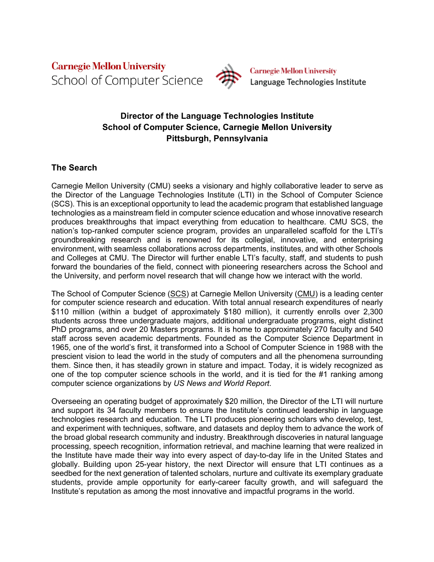**Carnegie Mellon University** School of Computer Science



**Carnegie Mellon University** Language Technologies Institute

# **Director of the Language Technologies Institute School of Computer Science, Carnegie Mellon University Pittsburgh, Pennsylvania**

## **The Search**

Carnegie Mellon University (CMU) seeks a visionary and highly collaborative leader to serve as the Director of the Language Technologies Institute (LTI) in the School of Computer Science (SCS). This is an exceptional opportunity to lead the academic program that established language technologies as a mainstream field in computer science education and whose innovative research produces breakthroughs that impact everything from education to healthcare. CMU SCS, the nation's top-ranked computer science program, provides an unparalleled scaffold for the LTI's groundbreaking research and is renowned for its collegial, innovative, and enterprising environment, with seamless collaborations across departments, institutes, and with other Schools and Colleges at CMU. The Director will further enable LTI's faculty, staff, and students to push forward the boundaries of the field, connect with pioneering researchers across the School and the University, and perform novel research that will change how we interact with the world.

The School of Computer Science (SCS) at Carnegie Mellon University (CMU) is a leading center for computer science research and education. With total annual research expenditures of nearly \$110 million (within a budget of approximately \$180 million), it currently enrolls over 2,300 students across three undergraduate majors, additional undergraduate programs, eight distinct PhD programs, and over 20 Masters programs. It is home to approximately 270 faculty and 540 staff across seven academic departments. Founded as the Computer Science Department in 1965, one of the world's first, it transformed into a School of Computer Science in 1988 with the prescient vision to lead the world in the study of computers and all the phenomena surrounding them. Since then, it has steadily grown in stature and impact. Today, it is widely recognized as one of the top computer science schools in the world, and it is tied for the #1 ranking among computer science organizations by *US News and World Report*.

Overseeing an operating budget of approximately \$20 million, the Director of the LTI will nurture and support its 34 faculty members to ensure the Institute's continued leadership in language technologies research and education. The LTI produces pioneering scholars who develop, test, and experiment with techniques, software, and datasets and deploy them to advance the work of the broad global research community and industry. Breakthrough discoveries in natural language processing, speech recognition, information retrieval, and machine learning that were realized in the Institute have made their way into every aspect of day-to-day life in the United States and globally. Building upon 25-year history, the next Director will ensure that LTI continues as a seedbed for the next generation of talented scholars, nurture and cultivate its exemplary graduate students, provide ample opportunity for early-career faculty growth, and will safeguard the Institute's reputation as among the most innovative and impactful programs in the world.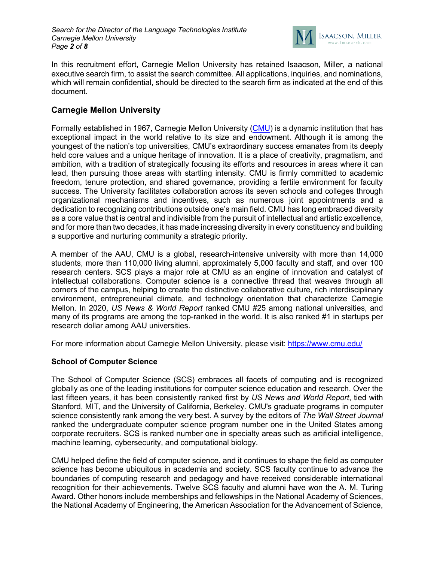

In this recruitment effort, Carnegie Mellon University has retained Isaacson, Miller, a national executive search firm, to assist the search committee. All applications, inquiries, and nominations, which will remain confidential, should be directed to the search firm as indicated at the end of this document.

### **Carnegie Mellon University**

Formally established in 1967, Carnegie Mellon University (CMU) is a dynamic institution that has exceptional impact in the world relative to its size and endowment. Although it is among the youngest of the nation's top universities, CMU's extraordinary success emanates from its deeply held core values and a unique heritage of innovation. It is a place of creativity, pragmatism, and ambition, with a tradition of strategically focusing its efforts and resources in areas where it can lead, then pursuing those areas with startling intensity. CMU is firmly committed to academic freedom, tenure protection, and shared governance, providing a fertile environment for faculty success. The University facilitates collaboration across its seven schools and colleges through organizational mechanisms and incentives, such as numerous joint appointments and a dedication to recognizing contributions outside one's main field. CMU has long embraced diversity as a core value that is central and indivisible from the pursuit of intellectual and artistic excellence, and for more than two decades, it has made increasing diversity in every constituency and building a supportive and nurturing community a strategic priority.

A member of the AAU, CMU is a global, research-intensive university with more than 14,000 students, more than 110,000 living alumni, approximately 5,000 faculty and staff, and over 100 research centers. SCS plays a major role at CMU as an engine of innovation and catalyst of intellectual collaborations. Computer science is a connective thread that weaves through all corners of the campus, helping to create the distinctive collaborative culture, rich interdisciplinary environment, entrepreneurial climate, and technology orientation that characterize Carnegie Mellon. In 2020, *US News & World Report* ranked CMU #25 among national universities, and many of its programs are among the top-ranked in the world. It is also ranked #1 in startups per research dollar among AAU universities.

For more information about Carnegie Mellon University, please visit: https://www.cmu.edu/

#### **School of Computer Science**

The School of Computer Science (SCS) embraces all facets of computing and is recognized globally as one of the leading institutions for computer science education and research. Over the last fifteen years, it has been consistently ranked first by *US News and World Report*, tied with Stanford, MIT, and the University of California, Berkeley. CMU's graduate programs in computer science consistently rank among the very best. A survey by the editors of *The Wall Street Journal* ranked the undergraduate computer science program number one in the United States among corporate recruiters. SCS is ranked number one in specialty areas such as artificial intelligence, machine learning, cybersecurity, and computational biology.

CMU helped define the field of computer science, and it continues to shape the field as computer science has become ubiquitous in academia and society. SCS faculty continue to advance the boundaries of computing research and pedagogy and have received considerable international recognition for their achievements. Twelve SCS faculty and alumni have won the A. M. Turing Award. Other honors include memberships and fellowships in the National Academy of Sciences, the National Academy of Engineering, the American Association for the Advancement of Science,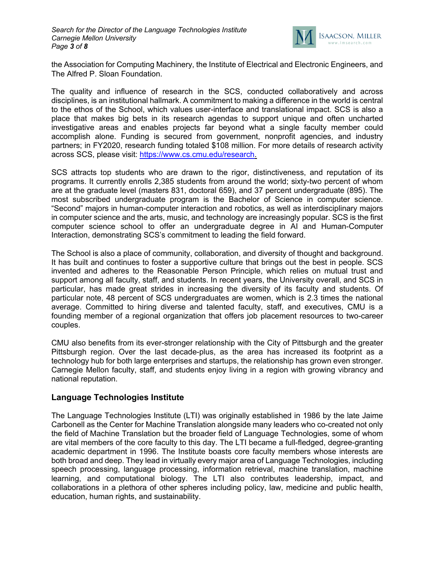

the Association for Computing Machinery, the Institute of Electrical and Electronic Engineers, and The Alfred P. Sloan Foundation.

The quality and influence of research in the SCS, conducted collaboratively and across disciplines, is an institutional hallmark. A commitment to making a difference in the world is central to the ethos of the School, which values user-interface and translational impact. SCS is also a place that makes big bets in its research agendas to support unique and often uncharted investigative areas and enables projects far beyond what a single faculty member could accomplish alone. Funding is secured from government, nonprofit agencies, and industry partners; in FY2020, research funding totaled \$108 million. For more details of research activity across SCS, please visit: https://www.cs.cmu.edu/research.

SCS attracts top students who are drawn to the rigor, distinctiveness, and reputation of its programs. It currently enrolls 2,385 students from around the world; sixty-two percent of whom are at the graduate level (masters 831, doctoral 659), and 37 percent undergraduate (895). The most subscribed undergraduate program is the Bachelor of Science in computer science. "Second" majors in human-computer interaction and robotics, as well as interdisciplinary majors in computer science and the arts, music, and technology are increasingly popular. SCS is the first computer science school to offer an undergraduate degree in AI and Human-Computer Interaction, demonstrating SCS's commitment to leading the field forward.

The School is also a place of community, collaboration, and diversity of thought and background. It has built and continues to foster a supportive culture that brings out the best in people. SCS invented and adheres to the Reasonable Person Principle, which relies on mutual trust and support among all faculty, staff, and students. In recent years, the University overall, and SCS in particular, has made great strides in increasing the diversity of its faculty and students. Of particular note, 48 percent of SCS undergraduates are women, which is 2.3 times the national average. Committed to hiring diverse and talented faculty, staff, and executives, CMU is a founding member of a regional organization that offers job placement resources to two-career couples.

CMU also benefits from its ever-stronger relationship with the City of Pittsburgh and the greater Pittsburgh region. Over the last decade-plus, as the area has increased its footprint as a technology hub for both large enterprises and startups, the relationship has grown even stronger. Carnegie Mellon faculty, staff, and students enjoy living in a region with growing vibrancy and national reputation.

#### **Language Technologies Institute**

The Language Technologies Institute (LTI) was originally established in 1986 by the late Jaime Carbonell as the Center for Machine Translation alongside many leaders who co-created not only the field of Machine Translation but the broader field of Language Technologies, some of whom are vital members of the core faculty to this day. The LTI became a full-fledged, degree-granting academic department in 1996. The Institute boasts core faculty members whose interests are both broad and deep. They lead in virtually every major area of Language Technologies, including speech processing, language processing, information retrieval, machine translation, machine learning, and computational biology. The LTI also contributes leadership, impact, and collaborations in a plethora of other spheres including policy, law, medicine and public health, education, human rights, and sustainability.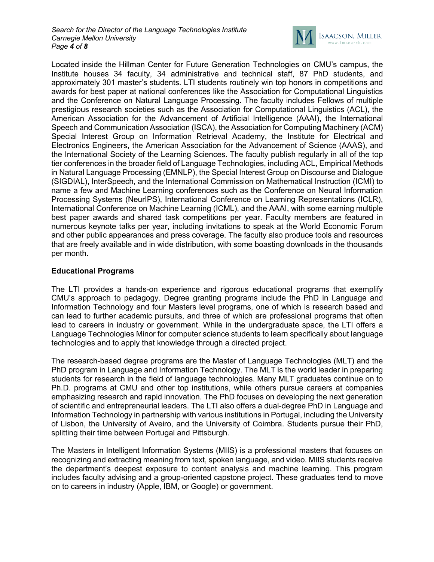

Located inside the Hillman Center for Future Generation Technologies on CMU's campus, the Institute houses 34 faculty, 34 administrative and technical staff, 87 PhD students, and approximately 301 master's students. LTI students routinely win top honors in competitions and awards for best paper at national conferences like the Association for Computational Linguistics and the Conference on Natural Language Processing. The faculty includes Fellows of multiple prestigious research societies such as the Association for Computational Linguistics (ACL), the American Association for the Advancement of Artificial Intelligence (AAAI), the International Speech and Communication Association (ISCA), the Association for Computing Machinery (ACM) Special Interest Group on Information Retrieval Academy, the Institute for Electrical and Electronics Engineers, the American Association for the Advancement of Science (AAAS), and the International Society of the Learning Sciences. The faculty publish regularly in all of the top tier conferences in the broader field of Language Technologies, including ACL, Empirical Methods in Natural Language Processing (EMNLP), the Special Interest Group on Discourse and Dialogue (SIGDIAL), InterSpeech, and the International Commission on Mathematical Instruction (ICMI) to name a few and Machine Learning conferences such as the Conference on Neural Information Processing Systems (NeurIPS), International Conference on Learning Representations (ICLR), International Conference on Machine Learning (ICML), and the AAAI, with some earning multiple best paper awards and shared task competitions per year. Faculty members are featured in numerous keynote talks per year, including invitations to speak at the World Economic Forum and other public appearances and press coverage. The faculty also produce tools and resources that are freely available and in wide distribution, with some boasting downloads in the thousands per month.

### **Educational Programs**

The LTI provides a hands-on experience and rigorous educational programs that exemplify CMU's approach to pedagogy. Degree granting programs include the PhD in Language and Information Technology and four Masters level programs, one of which is research based and can lead to further academic pursuits, and three of which are professional programs that often lead to careers in industry or government. While in the undergraduate space, the LTI offers a Language Technologies Minor for computer science students to learn specifically about language technologies and to apply that knowledge through a directed project.

The research-based degree programs are the Master of Language Technologies (MLT) and the PhD program in Language and Information Technology. The MLT is the world leader in preparing students for research in the field of language technologies. Many MLT graduates continue on to Ph.D. programs at CMU and other top institutions, while others pursue careers at companies emphasizing research and rapid innovation. The PhD focuses on developing the next generation of scientific and entrepreneurial leaders. The LTI also offers a dual-degree PhD in Language and Information Technology in partnership with various institutions in Portugal, including the University of Lisbon, the University of Aveiro, and the University of Coimbra. Students pursue their PhD, splitting their time between Portugal and Pittsburgh.

The Masters in Intelligent Information Systems (MIIS) is a professional masters that focuses on recognizing and extracting meaning from text, spoken language, and video. MIIS students receive the department's deepest exposure to content analysis and machine learning. This program includes faculty advising and a group-oriented capstone project. These graduates tend to move on to careers in industry (Apple, IBM, or Google) or government.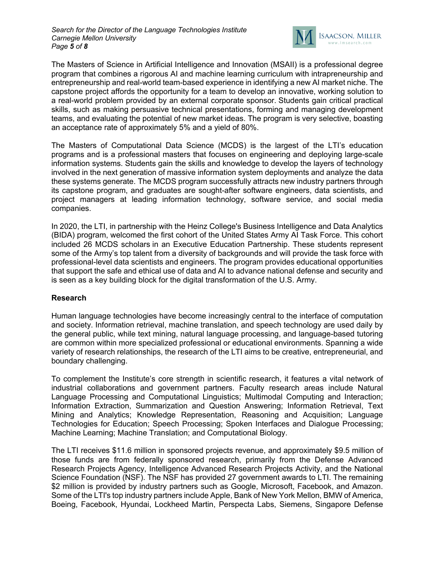

The Masters of Science in Artificial Intelligence and Innovation (MSAII) is a professional degree program that combines a rigorous AI and machine learning curriculum with intrapreneurship and entrepreneurship and real-world team-based experience in identifying a new AI market niche. The capstone project affords the opportunity for a team to develop an innovative, working solution to a real-world problem provided by an external corporate sponsor. Students gain critical practical skills, such as making persuasive technical presentations, forming and managing development teams, and evaluating the potential of new market ideas. The program is very selective, boasting an acceptance rate of approximately 5% and a yield of 80%.

The Masters of Computational Data Science (MCDS) is the largest of the LTI's education programs and is a professional masters that focuses on engineering and deploying large-scale information systems. Students gain the skills and knowledge to develop the layers of technology involved in the next generation of massive information system deployments and analyze the data these systems generate. The MCDS program successfully attracts new industry partners through its capstone program, and graduates are sought-after software engineers, data scientists, and project managers at leading information technology, software service, and social media companies.

In 2020, the LTI, in partnership with the Heinz College's Business Intelligence and Data Analytics (BIDA) program, welcomed the first cohort of the United States Army AI Task Force. This cohort included 26 MCDS scholars in an Executive Education Partnership. These students represent some of the Army's top talent from a diversity of backgrounds and will provide the task force with professional-level data scientists and engineers. The program provides educational opportunities that support the safe and ethical use of data and AI to advance national defense and security and is seen as a key building block for the digital transformation of the U.S. Army.

#### **Research**

Human language technologies have become increasingly central to the interface of computation and society. Information retrieval, machine translation, and speech technology are used daily by the general public, while text mining, natural language processing, and language-based tutoring are common within more specialized professional or educational environments. Spanning a wide variety of research relationships, the research of the LTI aims to be creative, entrepreneurial, and boundary challenging.

To complement the Institute's core strength in scientific research, it features a vital network of industrial collaborations and government partners. Faculty research areas include Natural Language Processing and Computational Linguistics; Multimodal Computing and Interaction; Information Extraction, Summarization and Question Answering; Information Retrieval, Text Mining and Analytics; Knowledge Representation, Reasoning and Acquisition; Language Technologies for Education; Speech Processing; Spoken Interfaces and Dialogue Processing; Machine Learning; Machine Translation; and Computational Biology.

The LTI receives \$11.6 million in sponsored projects revenue, and approximately \$9.5 million of those funds are from federally sponsored research, primarily from the Defense Advanced Research Projects Agency, Intelligence Advanced Research Projects Activity, and the National Science Foundation (NSF). The NSF has provided 27 government awards to LTI. The remaining \$2 million is provided by industry partners such as Google, Microsoft, Facebook, and Amazon. Some of the LTI's top industry partners include Apple, Bank of New York Mellon, BMW of America, Boeing, Facebook, Hyundai, Lockheed Martin, Perspecta Labs, Siemens, Singapore Defense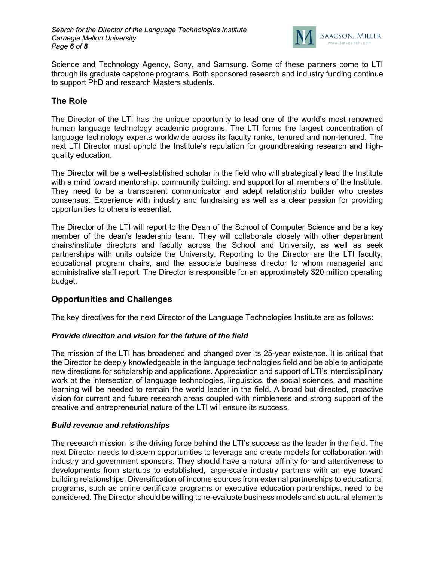

Science and Technology Agency, Sony, and Samsung. Some of these partners come to LTI through its graduate capstone programs. Both sponsored research and industry funding continue to support PhD and research Masters students.

### **The Role**

The Director of the LTI has the unique opportunity to lead one of the world's most renowned human language technology academic programs. The LTI forms the largest concentration of language technology experts worldwide across its faculty ranks, tenured and non-tenured. The next LTI Director must uphold the Institute's reputation for groundbreaking research and highquality education.

The Director will be a well-established scholar in the field who will strategically lead the Institute with a mind toward mentorship, community building, and support for all members of the Institute. They need to be a transparent communicator and adept relationship builder who creates consensus. Experience with industry and fundraising as well as a clear passion for providing opportunities to others is essential.

The Director of the LTI will report to the Dean of the School of Computer Science and be a key member of the dean's leadership team. They will collaborate closely with other department chairs/institute directors and faculty across the School and University, as well as seek partnerships with units outside the University. Reporting to the Director are the LTI faculty, educational program chairs, and the associate business director to whom managerial and administrative staff report. The Director is responsible for an approximately \$20 million operating budget.

### **Opportunities and Challenges**

The key directives for the next Director of the Language Technologies Institute are as follows:

#### *Provide direction and vision for the future of the field*

The mission of the LTI has broadened and changed over its 25-year existence. It is critical that the Director be deeply knowledgeable in the language technologies field and be able to anticipate new directions for scholarship and applications. Appreciation and support of LTI's interdisciplinary work at the intersection of language technologies, linguistics, the social sciences, and machine learning will be needed to remain the world leader in the field. A broad but directed, proactive vision for current and future research areas coupled with nimbleness and strong support of the creative and entrepreneurial nature of the LTI will ensure its success.

#### *Build revenue and relationships*

The research mission is the driving force behind the LTI's success as the leader in the field. The next Director needs to discern opportunities to leverage and create models for collaboration with industry and government sponsors. They should have a natural affinity for and attentiveness to developments from startups to established, large-scale industry partners with an eye toward building relationships. Diversification of income sources from external partnerships to educational programs, such as online certificate programs or executive education partnerships, need to be considered. The Director should be willing to re-evaluate business models and structural elements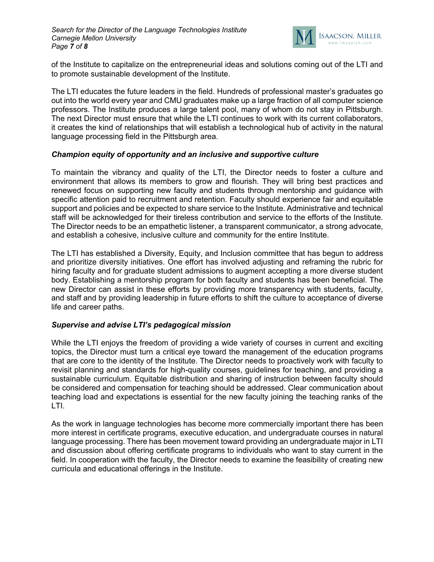

of the Institute to capitalize on the entrepreneurial ideas and solutions coming out of the LTI and to promote sustainable development of the Institute.

The LTI educates the future leaders in the field. Hundreds of professional master's graduates go out into the world every year and CMU graduates make up a large fraction of all computer science professors. The Institute produces a large talent pool, many of whom do not stay in Pittsburgh. The next Director must ensure that while the LTI continues to work with its current collaborators, it creates the kind of relationships that will establish a technological hub of activity in the natural language processing field in the Pittsburgh area.

#### *Champion equity of opportunity and an inclusive and supportive culture*

To maintain the vibrancy and quality of the LTI, the Director needs to foster a culture and environment that allows its members to grow and flourish. They will bring best practices and renewed focus on supporting new faculty and students through mentorship and guidance with specific attention paid to recruitment and retention. Faculty should experience fair and equitable support and policies and be expected to share service to the Institute. Administrative and technical staff will be acknowledged for their tireless contribution and service to the efforts of the Institute. The Director needs to be an empathetic listener, a transparent communicator, a strong advocate, and establish a cohesive, inclusive culture and community for the entire Institute.

The LTI has established a Diversity, Equity, and Inclusion committee that has begun to address and prioritize diversity initiatives. One effort has involved adjusting and reframing the rubric for hiring faculty and for graduate student admissions to augment accepting a more diverse student body. Establishing a mentorship program for both faculty and students has been beneficial. The new Director can assist in these efforts by providing more transparency with students, faculty, and staff and by providing leadership in future efforts to shift the culture to acceptance of diverse life and career paths.

#### *Supervise and advise LTI's pedagogical mission*

While the LTI enjoys the freedom of providing a wide variety of courses in current and exciting topics, the Director must turn a critical eye toward the management of the education programs that are core to the identity of the Institute. The Director needs to proactively work with faculty to revisit planning and standards for high-quality courses, guidelines for teaching, and providing a sustainable curriculum. Equitable distribution and sharing of instruction between faculty should be considered and compensation for teaching should be addressed. Clear communication about teaching load and expectations is essential for the new faculty joining the teaching ranks of the LTI.

As the work in language technologies has become more commercially important there has been more interest in certificate programs, executive education, and undergraduate courses in natural language processing. There has been movement toward providing an undergraduate major in LTI and discussion about offering certificate programs to individuals who want to stay current in the field. In cooperation with the faculty, the Director needs to examine the feasibility of creating new curricula and educational offerings in the Institute.